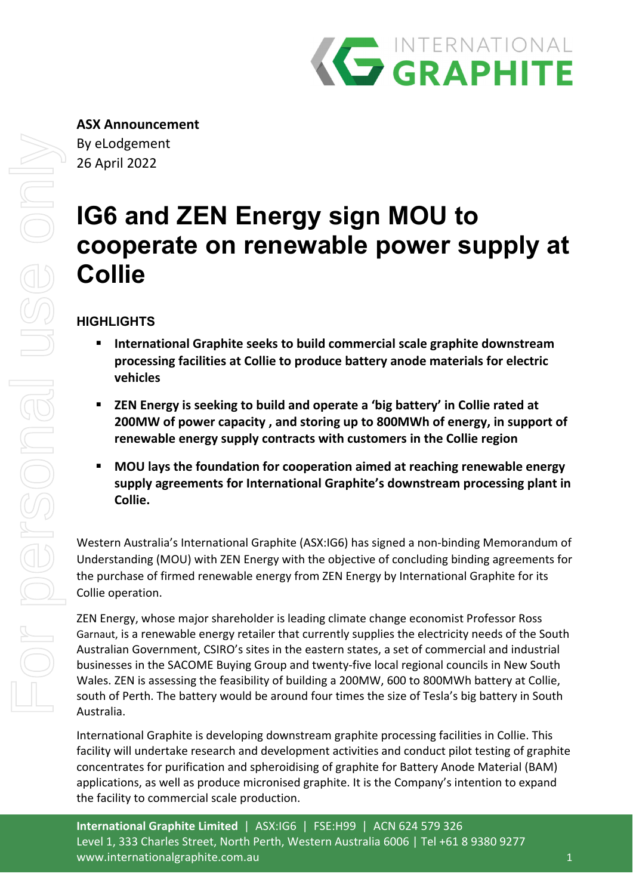

# **IG6 and ZEN Energy sign MOU to cooperate on renewable power supply at Collie**

# **HIGHLIGHTS**

- **International Graphite seeks to build commercial scale graphite downstream processing facilities at Collie to produce battery anode materials for electric vehicles**
- **ZEN Energy is seeking to build and operate a 'big battery' in Collie rated at 200MW of power capacity , and storing up to 800MWh of energy, in support of renewable energy supply contracts with customers in the Collie region**
- **MOU lays the foundation for cooperation aimed at reaching renewable energy supply agreements for International Graphite's downstream processing plant in Collie.**

Western Australia's International Graphite (ASX:IG6) has signed a non‐binding Memorandum of Understanding (MOU) with ZEN Energy with the objective of concluding binding agreements for the purchase of firmed renewable energy from ZEN Energy by International Graphite for its Collie operation.

ZEN Energy, whose major shareholder is leading climate change economist Professor Ross Garnaut, is a renewable energy retailer that currently supplies the electricity needs of the South Australian Government, CSIRO's sites in the eastern states, a set of commercial and industrial businesses in the SACOME Buying Group and twenty‐five local regional councils in New South Wales. ZEN is assessing the feasibility of building a 200MW, 600 to 800MWh battery at Collie, south of Perth. The battery would be around four times the size of Tesla's big battery in South Australia.

International Graphite is developing downstream graphite processing facilities in Collie. This facility will undertake research and development activities and conduct pilot testing of graphite concentrates for purification and spheroidising of graphite for Battery Anode Material (BAM) applications, as well as produce micronised graphite. It is the Company's intention to expand the facility to commercial scale production.

**International Graphite Limited** | ASX:IG6 | FSE:H99 | ACN 624 579 326 Level 1, 333 Charles Street, North Perth, Western Australia 6006 | Tel +61 8 9380 9277 www.internationalgraphite.com.au 1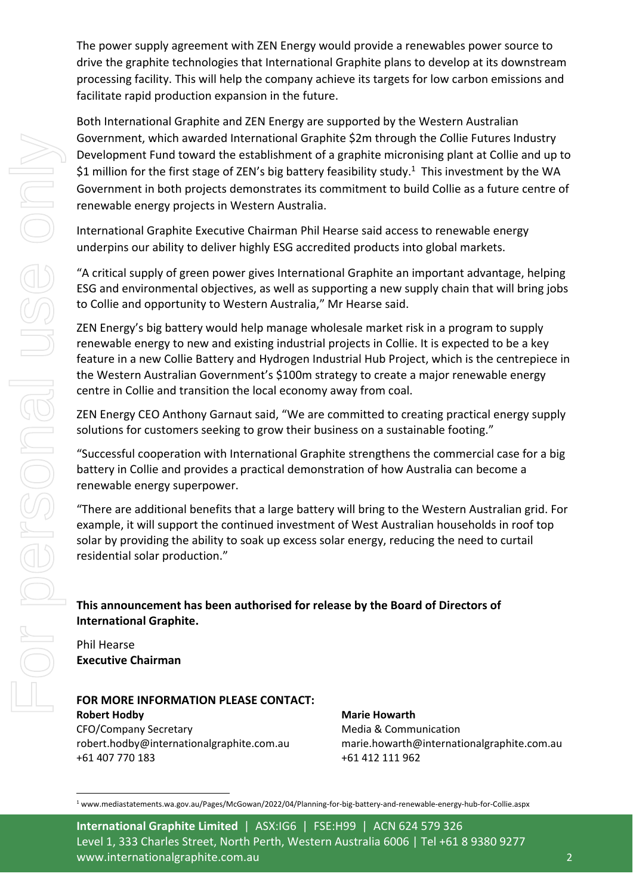The power supply agreement with ZEN Energy would provide a renewables power source to drive the graphite technologies that International Graphite plans to develop at its downstream processing facility. This will help the company achieve its targets for low carbon emissions and facilitate rapid production expansion in the future.

Both International Graphite and ZEN Energy are supported by the Western Australian Government, which awarded International Graphite \$2m through the *C*ollie Futures Industry Development Fund toward the establishment of a graphite micronising plant at Collie and up to \$1 million for the first stage of ZEN's big battery feasibility study.<sup>1</sup> This investment by the WA Government in both projects demonstrates its commitment to build Collie as a future centre of renewable energy projects in Western Australia.

International Graphite Executive Chairman Phil Hearse said access to renewable energy underpins our ability to deliver highly ESG accredited products into global markets.

"A critical supply of green power gives International Graphite an important advantage, helping ESG and environmental objectives, as well as supporting a new supply chain that will bring jobs to Collie and opportunity to Western Australia," Mr Hearse said.

ZEN Energy's big battery would help manage wholesale market risk in a program to supply renewable energy to new and existing industrial projects in Collie. It is expected to be a key feature in a new Collie Battery and Hydrogen Industrial Hub Project, which is the centrepiece in the Western Australian Government's \$100m strategy to create a major renewable energy centre in Collie and transition the local economy away from coal.

ZEN Energy CEO Anthony Garnaut said, "We are committed to creating practical energy supply solutions for customers seeking to grow their business on a sustainable footing."

"Successful cooperation with International Graphite strengthens the commercial case for a big battery in Collie and provides a practical demonstration of how Australia can become a renewable energy superpower.

"There are additional benefits that a large battery will bring to the Western Australian grid. For example, it will support the continued investment of West Australian households in roof top solar by providing the ability to soak up excess solar energy, reducing the need to curtail residential solar production."

## **This announcement has been authorised for release by the Board of Directors of International Graphite.**

Phil Hearse **Executive Chairman**

### **FOR MORE INFORMATION PLEASE CONTACT: Robert Hodby** CFO/Company Secretary robert.hodby@internationalgraphite.com.au +61 407 770 183

**Marie Howarth**  Media & Communication marie.howarth@internationalgraphite.com.au +61 412 111 962

**International Graphite Limited** | ASX:IG6 | FSE:H99 | ACN 624 579 326 Level 1, 333 Charles Street, North Perth, Western Australia 6006 | Tel +61 8 9380 9277 www.internationalgraphite.com.au 2

<sup>1</sup> www.mediastatements.wa.gov.au/Pages/McGowan/2022/04/Planning‐for‐big‐battery‐and‐renewable‐energy‐hub‐for‐Collie.aspx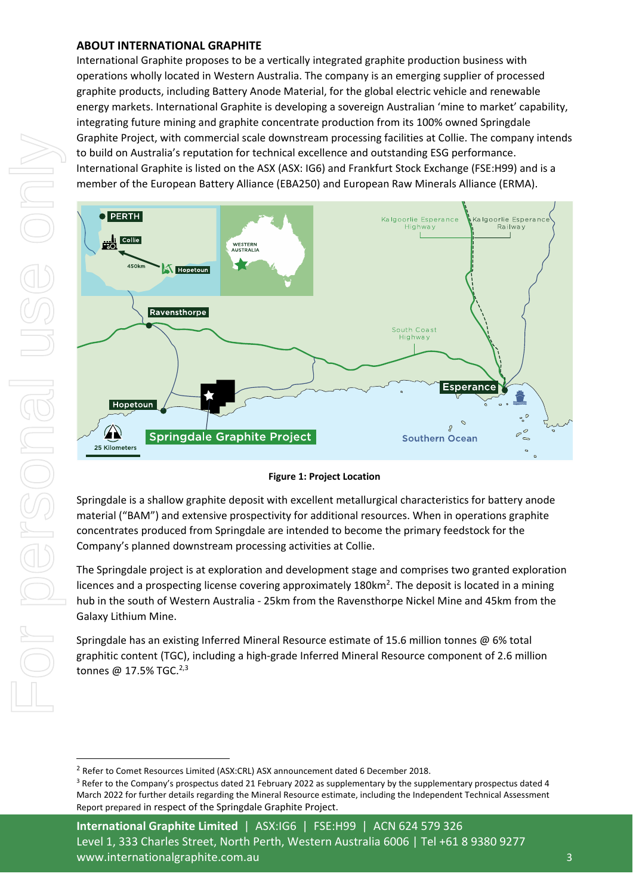#### **ABOUT INTERNATIONAL GRAPHITE**

International Graphite proposes to be a vertically integrated graphite production business with operations wholly located in Western Australia. The company is an emerging supplier of processed graphite products, including Battery Anode Material, for the global electric vehicle and renewable energy markets. International Graphite is developing a sovereign Australian 'mine to market' capability, integrating future mining and graphite concentrate production from its 100% owned Springdale Graphite Project, with commercial scale downstream processing facilities at Collie. The company intends to build on Australia's reputation for technical excellence and outstanding ESG performance. International Graphite is listed on the ASX (ASX: IG6) and Frankfurt Stock Exchange (FSE:H99) and is a member of the European Battery Alliance (EBA250) and European Raw Minerals Alliance (ERMA).



#### **Figure 1: Project Location**

Springdale is a shallow graphite deposit with excellent metallurgical characteristics for battery anode material ("BAM") and extensive prospectivity for additional resources. When in operations graphite concentrates produced from Springdale are intended to become the primary feedstock for the Company's planned downstream processing activities at Collie.

The Springdale project is at exploration and development stage and comprises two granted exploration licences and a prospecting license covering approximately 180km<sup>2</sup>. The deposit is located in a mining hub in the south of Western Australia ‐ 25km from the Ravensthorpe Nickel Mine and 45km from the Galaxy Lithium Mine.

Springdale has an existing Inferred Mineral Resource estimate of 15.6 million tonnes @ 6% total graphitic content (TGC), including a high‐grade Inferred Mineral Resource component of 2.6 million tonnes @ 17.5% TGC.<sup>2,3</sup>

**International Graphite Limited** | ASX:IG6 | FSE:H99 | ACN 624 579 326 Level 1, 333 Charles Street, North Perth, Western Australia 6006 | Tel +61 8 9380 9277 www.internationalgraphite.com.au 3

<sup>2</sup> Refer to Comet Resources Limited (ASX:CRL) ASX announcement dated 6 December 2018.

<sup>&</sup>lt;sup>3</sup> Refer to the Company's prospectus dated 21 February 2022 as supplementary by the supplementary prospectus dated 4 March 2022 for further details regarding the Mineral Resource estimate, including the Independent Technical Assessment Report prepared in respect of the Springdale Graphite Project.